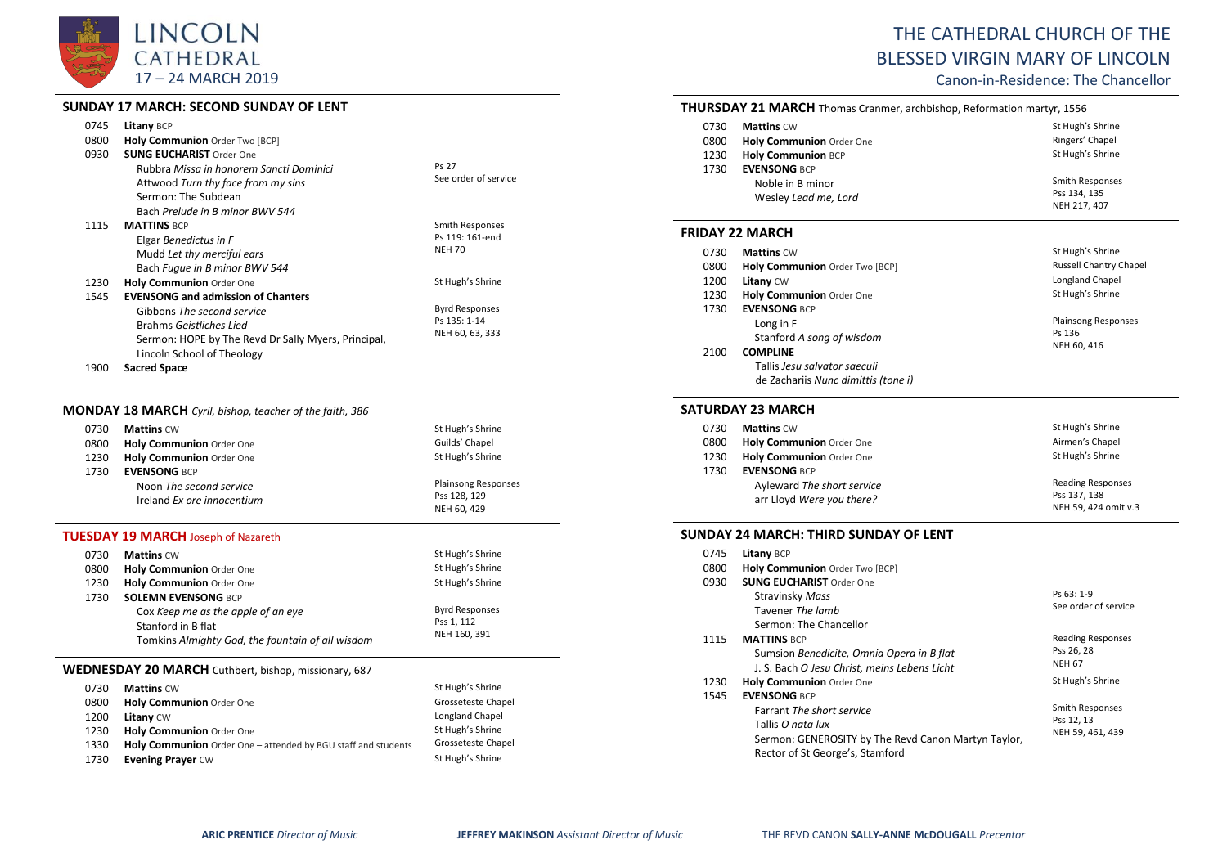

# **SUNDAY 17 MARCH: SECOND SUNDAY OF LENT**

| 0745 | <b>Litany BCP</b>                                   |                        |
|------|-----------------------------------------------------|------------------------|
| 0800 | Holy Communion Order Two [BCP]                      |                        |
| 0930 | <b>SUNG EUCHARIST Order One</b>                     |                        |
|      | Rubbra Misso in honorem Sancti Dominici             | Ps 27                  |
|      | Attwood Turn thy face from my sins                  | See order of service   |
|      | Sermon: The Subdean                                 |                        |
|      | Bach Prelude in B minor BWV 544                     |                        |
| 1115 | <b>MATTINS BCP</b>                                  | <b>Smith Responses</b> |
|      | Elgar Benedictus in F                               | Ps 119: 161-end        |
|      | Mudd Let thy merciful ears                          | <b>NEH 70</b>          |
|      | Bach Fugue in B minor BWV 544                       |                        |
| 1230 | <b>Holy Communion Order One</b>                     | St Hugh's Shrine       |
| 1545 | <b>EVENSONG and admission of Chanters</b>           |                        |
|      | Gibbons The second service                          | <b>Byrd Responses</b>  |
|      | Brahms Geistliches Lied                             | Ps 135: 1-14           |
|      | Sermon: HOPE by The Revd Dr Sally Myers, Principal, | NEH 60, 63, 333        |
|      |                                                     |                        |
|      | Lincoln School of Theology                          |                        |
| 1900 | <b>Sacred Space</b>                                 |                        |

# **MONDAY 18 MARCH** *Cyril, bishop, teacher of the faith, 386*

| 0730 | <b>Mattins CW</b>          | St Hugh's Shrine           |
|------|----------------------------|----------------------------|
| 0800 | Holy Communion Order One   | Guilds' Chapel             |
| 1230 | Holy Communion Order One   | St Hugh's Shrine           |
| 1730 | <b>EVENSONG BCP</b>        |                            |
|      | Noon The second service    | <b>Plainsong Responses</b> |
|      | Ireland Ex ore innocentium | Pss 128, 129               |
|      |                            | NEH 60, 429                |

# **TUESDAY 19 MARCH** Joseph of Nazareth

| 0730 | <b>Mattins CW</b>                                | St Hugh's Shrine      |
|------|--------------------------------------------------|-----------------------|
| 0800 | <b>Holy Communion Order One</b>                  | St Hugh's Shrine      |
| 1230 | Holy Communion Order One                         | St Hugh's Shrine      |
| 1730 | <b>SOLEMN EVENSONG BCP</b>                       |                       |
|      | Cox Keep me as the apple of an eye               | <b>Byrd Responses</b> |
|      | Stanford in B flat                               | Pss 1, 112            |
|      | Tomkins Almighty God, the fountain of all wisdom | NEH 160, 391          |

#### **WEDNESDAY 20 MARCH** Cuthbert, bishop, missionary, 687

| 0730 | <b>Mattins CW</b>                                                    | St Hugh's Shrine   |
|------|----------------------------------------------------------------------|--------------------|
| 0800 | Holy Communion Order One                                             | Grosseteste Chapel |
| 1200 | <b>Litany CW</b>                                                     | Longland Chapel    |
| 1230 | Holy Communion Order One                                             | St Hugh's Shrine   |
| 1330 | <b>Holy Communion</b> Order One – attended by BGU staff and students | Grosseteste Chapel |
| 1730 | <b>Evening Prayer CW</b>                                             | St Hugh's Shrine   |

# THE CATHEDRAL CHURCH OF THE BLESSED VIRGIN MARY OF LINCOLN

Canon-in-Residence: The Chancellor

Pss 134, 135 NEH 217, 407

| <b>THURSDAY 21 MARCH</b> Thomas Cranmer, archbishop, Reformation martyr, 1556 |                           |                  |
|-------------------------------------------------------------------------------|---------------------------|------------------|
| 0730                                                                          | <b>Mattins CW</b>         | St Hugh's Shrine |
| 0800                                                                          | Holy Communion Order One  | Ringers' Chapel  |
| 1230                                                                          | <b>Holy Communion BCP</b> | St Hugh's Shrine |
| 1730                                                                          | <b>EVENSONG BCP</b>       |                  |
|                                                                               | Noble in B minor          | Smith Responses  |

### **FRIDAY 22 MARCH**

Wesley *Lead me, Lord*

| 0730 | <b>Mattins CW</b>                   | St Hugh's Shrine              |
|------|-------------------------------------|-------------------------------|
| 0800 | Holy Communion Order Two [BCP]      | <b>Russell Chantry Chapel</b> |
| 1200 | <b>Litany CW</b>                    | Longland Chapel               |
| 1230 | Holy Communion Order One            | St Hugh's Shrine              |
| 1730 | <b>EVENSONG BCP</b>                 |                               |
|      | Long in F                           | <b>Plainsong Responses</b>    |
|      | Stanford A song of wisdom           | Ps 136                        |
| 2100 | <b>COMPLINE</b>                     | NEH 60, 416                   |
|      | Tallis Jesu salvator saeculi        |                               |
|      | de Zachariis Nunc dimittis (tone i) |                               |

#### **SATURDAY 23 MARCH**

| 0730 | <b>Mattins CW</b>                                                              | St Hugh's Shrine                                                 |
|------|--------------------------------------------------------------------------------|------------------------------------------------------------------|
| 0800 | <b>Holy Communion Order One</b>                                                | Airmen's Chapel                                                  |
| 1230 | Holy Communion Order One                                                       | St Hugh's Shrine                                                 |
| 1730 | <b>EVENSONG BCP</b><br>Ayleward The short service<br>arr Lloyd Were you there? | <b>Reading Responses</b><br>Pss 137, 138<br>NEH 59, 424 omit v.3 |

### **SUNDAY 24 MARCH: THIRD SUNDAY OF LENT**

| 0745 | Litany BCP                                          |                          |
|------|-----------------------------------------------------|--------------------------|
| 0800 | Holy Communion Order Two [BCP]                      |                          |
| 0930 | <b>SUNG EUCHARIST Order One</b>                     |                          |
|      | Stravinsky Mass                                     | $Ps 63: 1-9$             |
|      | Tavener The lamb                                    | See order of service     |
|      | Sermon: The Chancellor                              |                          |
| 1115 | <b>MATTINS BCP</b>                                  | <b>Reading Responses</b> |
|      | Sumsion Benedicite, Omnia Opera in B flat           | Pss 26, 28               |
|      | J. S. Bach O Jesu Christ, meins Lebens Licht        | <b>NEH 67</b>            |
| 1230 | Holy Communion Order One                            | St Hugh's Shrine         |
| 1545 | <b>EVENSONG BCP</b>                                 |                          |
|      | <b>Farrant The short service</b>                    | Smith Responses          |
|      | Tallis O nata lux                                   | Pss 12, 13               |
|      | Sermon: GENEROSITY by The Revd Canon Martyn Taylor, | NEH 59, 461, 439         |
|      | Rector of St George's, Stamford                     |                          |